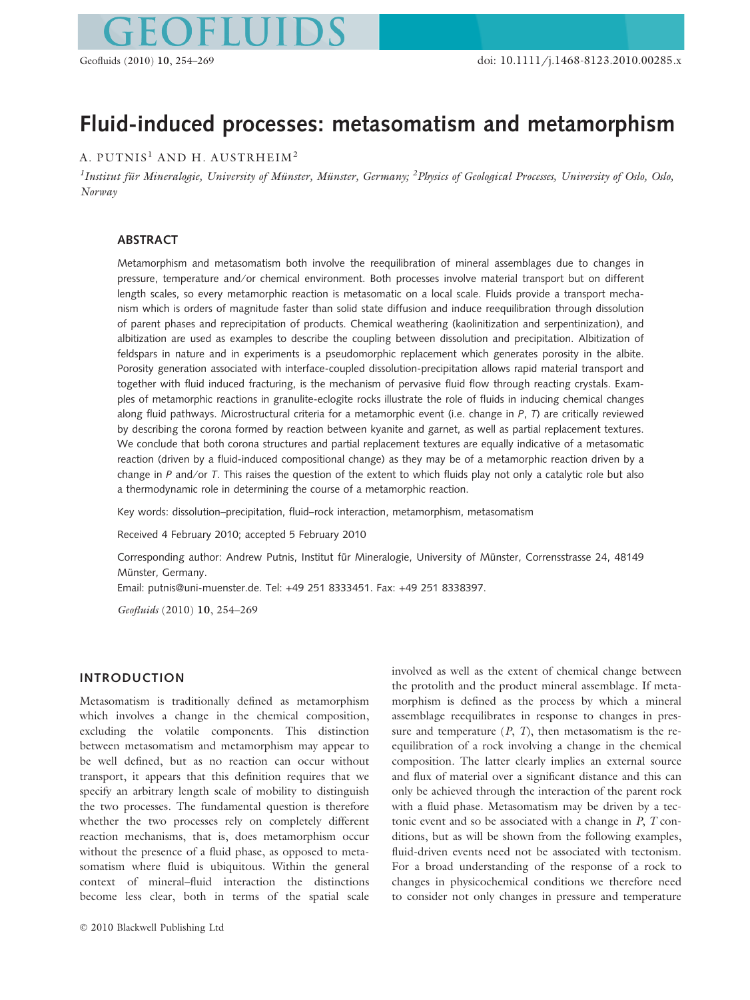# Fluid-induced processes: metasomatism and metamorphism

# A. PUTNIS<sup>1</sup> AND H. AUSTRHEIM<sup>2</sup>

 $^1$ Institut für Mineralogie, University of Münster, Münster, Germany;  $^2$ Physics of Geological Processes, University of Oslo, Oslo, Norway

# ABSTRACT

Metamorphism and metasomatism both involve the reequilibration of mineral assemblages due to changes in pressure, temperature and ⁄ or chemical environment. Both processes involve material transport but on different length scales, so every metamorphic reaction is metasomatic on a local scale. Fluids provide a transport mechanism which is orders of magnitude faster than solid state diffusion and induce reequilibration through dissolution of parent phases and reprecipitation of products. Chemical weathering (kaolinitization and serpentinization), and albitization are used as examples to describe the coupling between dissolution and precipitation. Albitization of feldspars in nature and in experiments is a pseudomorphic replacement which generates porosity in the albite. Porosity generation associated with interface-coupled dissolution-precipitation allows rapid material transport and together with fluid induced fracturing, is the mechanism of pervasive fluid flow through reacting crystals. Examples of metamorphic reactions in granulite-eclogite rocks illustrate the role of fluids in inducing chemical changes along fluid pathways. Microstructural criteria for a metamorphic event (i.e. change in P, T) are critically reviewed by describing the corona formed by reaction between kyanite and garnet, as well as partial replacement textures. We conclude that both corona structures and partial replacement textures are equally indicative of a metasomatic reaction (driven by a fluid-induced compositional change) as they may be of a metamorphic reaction driven by a change in P and/or T. This raises the question of the extent to which fluids play not only a catalytic role but also a thermodynamic role in determining the course of a metamorphic reaction.

Key words: dissolution–precipitation, fluid–rock interaction, metamorphism, metasomatism

Received 4 February 2010; accepted 5 February 2010

Corresponding author: Andrew Putnis, Institut für Mineralogie, University of Münster, Corrensstrasse 24, 48149 Münster, Germany.

Email: putnis@uni-muenster.de. Tel: +49 251 8333451. Fax: +49 251 8338397.

Geofluids (2010) 10, 254–269

## INTRODUCTION

Metasomatism is traditionally defined as metamorphism which involves a change in the chemical composition, excluding the volatile components. This distinction between metasomatism and metamorphism may appear to be well defined, but as no reaction can occur without transport, it appears that this definition requires that we specify an arbitrary length scale of mobility to distinguish the two processes. The fundamental question is therefore whether the two processes rely on completely different reaction mechanisms, that is, does metamorphism occur without the presence of a fluid phase, as opposed to metasomatism where fluid is ubiquitous. Within the general context of mineral–fluid interaction the distinctions become less clear, both in terms of the spatial scale involved as well as the extent of chemical change between the protolith and the product mineral assemblage. If metamorphism is defined as the process by which a mineral assemblage reequilibrates in response to changes in pressure and temperature  $(P, T)$ , then metasomatism is the reequilibration of a rock involving a change in the chemical composition. The latter clearly implies an external source and flux of material over a significant distance and this can only be achieved through the interaction of the parent rock with a fluid phase. Metasomatism may be driven by a tectonic event and so be associated with a change in  $P$ ,  $T$  conditions, but as will be shown from the following examples, fluid-driven events need not be associated with tectonism. For a broad understanding of the response of a rock to changes in physicochemical conditions we therefore need to consider not only changes in pressure and temperature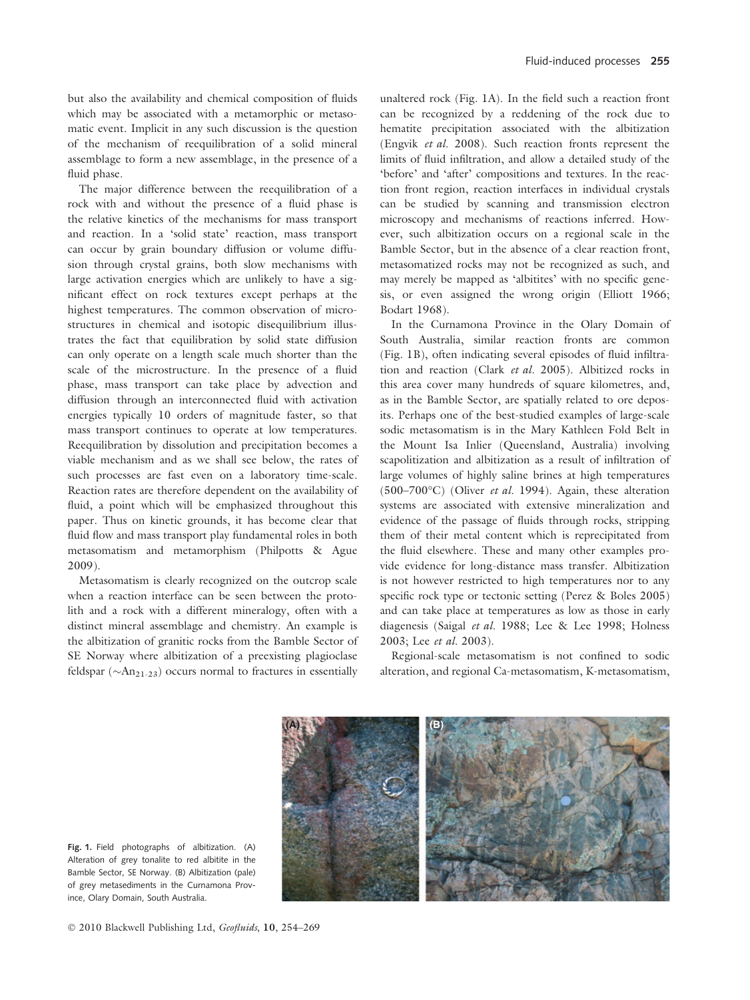but also the availability and chemical composition of fluids which may be associated with a metamorphic or metasomatic event. Implicit in any such discussion is the question of the mechanism of reequilibration of a solid mineral assemblage to form a new assemblage, in the presence of a fluid phase.

The major difference between the reequilibration of a rock with and without the presence of a fluid phase is the relative kinetics of the mechanisms for mass transport and reaction. In a 'solid state' reaction, mass transport can occur by grain boundary diffusion or volume diffusion through crystal grains, both slow mechanisms with large activation energies which are unlikely to have a significant effect on rock textures except perhaps at the highest temperatures. The common observation of microstructures in chemical and isotopic disequilibrium illustrates the fact that equilibration by solid state diffusion can only operate on a length scale much shorter than the scale of the microstructure. In the presence of a fluid phase, mass transport can take place by advection and diffusion through an interconnected fluid with activation energies typically 10 orders of magnitude faster, so that mass transport continues to operate at low temperatures. Reequilibration by dissolution and precipitation becomes a viable mechanism and as we shall see below, the rates of such processes are fast even on a laboratory time-scale. Reaction rates are therefore dependent on the availability of fluid, a point which will be emphasized throughout this paper. Thus on kinetic grounds, it has become clear that fluid flow and mass transport play fundamental roles in both metasomatism and metamorphism (Philpotts & Ague 2009).

Metasomatism is clearly recognized on the outcrop scale when a reaction interface can be seen between the protolith and a rock with a different mineralogy, often with a distinct mineral assemblage and chemistry. An example is the albitization of granitic rocks from the Bamble Sector of SE Norway where albitization of a preexisting plagioclase feldspar ( $\sim$ An<sub>21-23</sub>) occurs normal to fractures in essentially

unaltered rock (Fig. 1A). In the field such a reaction front can be recognized by a reddening of the rock due to hematite precipitation associated with the albitization (Engvik et al. 2008). Such reaction fronts represent the limits of fluid infiltration, and allow a detailed study of the 'before' and 'after' compositions and textures. In the reaction front region, reaction interfaces in individual crystals can be studied by scanning and transmission electron microscopy and mechanisms of reactions inferred. However, such albitization occurs on a regional scale in the Bamble Sector, but in the absence of a clear reaction front, metasomatized rocks may not be recognized as such, and may merely be mapped as 'albitites' with no specific genesis, or even assigned the wrong origin (Elliott 1966; Bodart 1968).

In the Curnamona Province in the Olary Domain of South Australia, similar reaction fronts are common (Fig. 1B), often indicating several episodes of fluid infiltration and reaction (Clark et al. 2005). Albitized rocks in this area cover many hundreds of square kilometres, and, as in the Bamble Sector, are spatially related to ore deposits. Perhaps one of the best-studied examples of large-scale sodic metasomatism is in the Mary Kathleen Fold Belt in the Mount Isa Inlier (Queensland, Australia) involving scapolitization and albitization as a result of infiltration of large volumes of highly saline brines at high temperatures (500–700 $^{\circ}$ C) (Oliver et al. 1994). Again, these alteration systems are associated with extensive mineralization and evidence of the passage of fluids through rocks, stripping them of their metal content which is reprecipitated from the fluid elsewhere. These and many other examples provide evidence for long-distance mass transfer. Albitization is not however restricted to high temperatures nor to any specific rock type or tectonic setting (Perez & Boles 2005) and can take place at temperatures as low as those in early diagenesis (Saigal et al. 1988; Lee & Lee 1998; Holness 2003; Lee et al. 2003).

Regional-scale metasomatism is not confined to sodic alteration, and regional Ca-metasomatism, K-metasomatism,



Fig. 1. Field photographs of albitization. (A) Alteration of grey tonalite to red albitite in the Bamble Sector, SE Norway. (B) Albitization (pale) of grey metasediments in the Curnamona Province, Olary Domain, South Australia.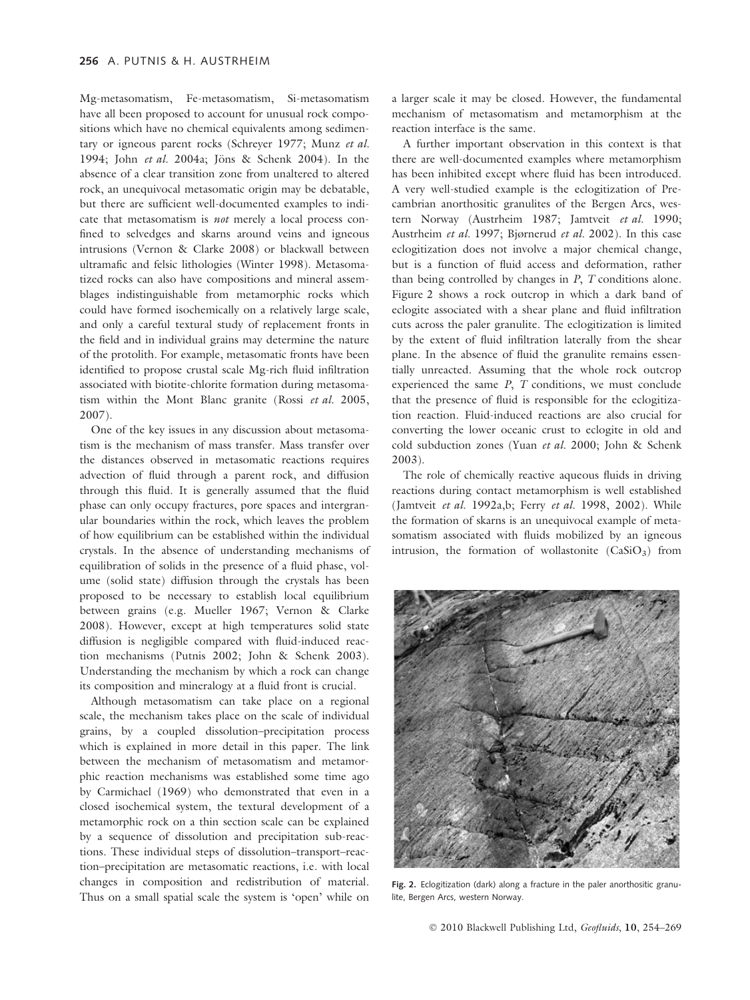Mg-metasomatism, Fe-metasomatism, Si-metasomatism have all been proposed to account for unusual rock compositions which have no chemical equivalents among sedimentary or igneous parent rocks (Schreyer 1977; Munz et al. 1994; John et al. 2004a; Jöns & Schenk 2004). In the absence of a clear transition zone from unaltered to altered rock, an unequivocal metasomatic origin may be debatable, but there are sufficient well-documented examples to indicate that metasomatism is not merely a local process confined to selvedges and skarns around veins and igneous intrusions (Vernon & Clarke 2008) or blackwall between ultramafic and felsic lithologies (Winter 1998). Metasomatized rocks can also have compositions and mineral assemblages indistinguishable from metamorphic rocks which could have formed isochemically on a relatively large scale, and only a careful textural study of replacement fronts in the field and in individual grains may determine the nature of the protolith. For example, metasomatic fronts have been identified to propose crustal scale Mg-rich fluid infiltration associated with biotite-chlorite formation during metasomatism within the Mont Blanc granite (Rossi et al. 2005, 2007).

One of the key issues in any discussion about metasomatism is the mechanism of mass transfer. Mass transfer over the distances observed in metasomatic reactions requires advection of fluid through a parent rock, and diffusion through this fluid. It is generally assumed that the fluid phase can only occupy fractures, pore spaces and intergranular boundaries within the rock, which leaves the problem of how equilibrium can be established within the individual crystals. In the absence of understanding mechanisms of equilibration of solids in the presence of a fluid phase, volume (solid state) diffusion through the crystals has been proposed to be necessary to establish local equilibrium between grains (e.g. Mueller 1967; Vernon & Clarke 2008). However, except at high temperatures solid state diffusion is negligible compared with fluid-induced reaction mechanisms (Putnis 2002; John & Schenk 2003). Understanding the mechanism by which a rock can change its composition and mineralogy at a fluid front is crucial.

Although metasomatism can take place on a regional scale, the mechanism takes place on the scale of individual grains, by a coupled dissolution–precipitation process which is explained in more detail in this paper. The link between the mechanism of metasomatism and metamorphic reaction mechanisms was established some time ago by Carmichael (1969) who demonstrated that even in a closed isochemical system, the textural development of a metamorphic rock on a thin section scale can be explained by a sequence of dissolution and precipitation sub-reactions. These individual steps of dissolution–transport–reaction–precipitation are metasomatic reactions, i.e. with local changes in composition and redistribution of material. Thus on a small spatial scale the system is 'open' while on a larger scale it may be closed. However, the fundamental mechanism of metasomatism and metamorphism at the reaction interface is the same.

A further important observation in this context is that there are well-documented examples where metamorphism has been inhibited except where fluid has been introduced. A very well-studied example is the eclogitization of Precambrian anorthositic granulites of the Bergen Arcs, western Norway (Austrheim 1987; Jamtveit et al. 1990; Austrheim et al. 1997; Bjørnerud et al. 2002). In this case eclogitization does not involve a major chemical change, but is a function of fluid access and deformation, rather than being controlled by changes in P, T conditions alone. Figure 2 shows a rock outcrop in which a dark band of eclogite associated with a shear plane and fluid infiltration cuts across the paler granulite. The eclogitization is limited by the extent of fluid infiltration laterally from the shear plane. In the absence of fluid the granulite remains essentially unreacted. Assuming that the whole rock outcrop experienced the same  $P$ ,  $T$  conditions, we must conclude that the presence of fluid is responsible for the eclogitization reaction. Fluid-induced reactions are also crucial for converting the lower oceanic crust to eclogite in old and cold subduction zones (Yuan et al. 2000; John & Schenk 2003).

The role of chemically reactive aqueous fluids in driving reactions during contact metamorphism is well established (Jamtveit et al. 1992a,b; Ferry et al. 1998, 2002). While the formation of skarns is an unequivocal example of metasomatism associated with fluids mobilized by an igneous intrusion, the formation of wollastonite  $(CaSiO<sub>3</sub>)$  from



Fig. 2. Eclogitization (dark) along a fracture in the paler anorthositic granulite, Bergen Arcs, western Norway.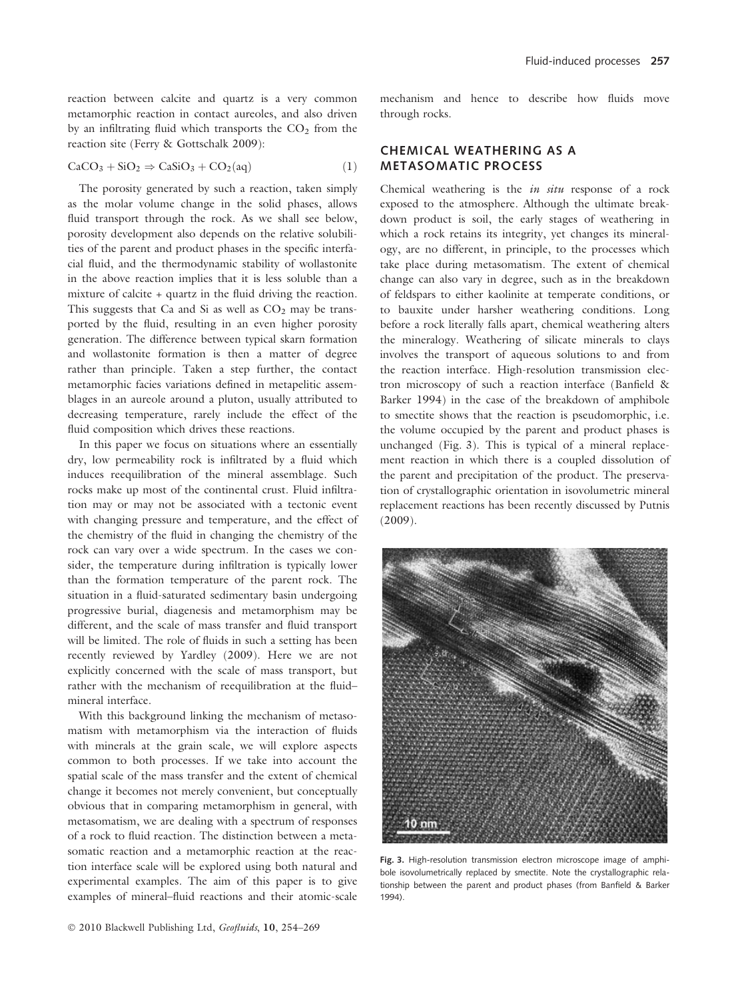reaction between calcite and quartz is a very common metamorphic reaction in contact aureoles, and also driven by an infiltrating fluid which transports the  $CO<sub>2</sub>$  from the reaction site (Ferry & Gottschalk 2009):

$$
CaCO3 + SiO2 \Rightarrow CaSiO3 + CO2(aq)
$$
 (1)

The porosity generated by such a reaction, taken simply as the molar volume change in the solid phases, allows fluid transport through the rock. As we shall see below, porosity development also depends on the relative solubilities of the parent and product phases in the specific interfacial fluid, and the thermodynamic stability of wollastonite in the above reaction implies that it is less soluble than a mixture of calcite + quartz in the fluid driving the reaction. This suggests that Ca and Si as well as  $CO<sub>2</sub>$  may be transported by the fluid, resulting in an even higher porosity generation. The difference between typical skarn formation and wollastonite formation is then a matter of degree rather than principle. Taken a step further, the contact metamorphic facies variations defined in metapelitic assemblages in an aureole around a pluton, usually attributed to decreasing temperature, rarely include the effect of the fluid composition which drives these reactions.

In this paper we focus on situations where an essentially dry, low permeability rock is infiltrated by a fluid which induces reequilibration of the mineral assemblage. Such rocks make up most of the continental crust. Fluid infiltration may or may not be associated with a tectonic event with changing pressure and temperature, and the effect of the chemistry of the fluid in changing the chemistry of the rock can vary over a wide spectrum. In the cases we consider, the temperature during infiltration is typically lower than the formation temperature of the parent rock. The situation in a fluid-saturated sedimentary basin undergoing progressive burial, diagenesis and metamorphism may be different, and the scale of mass transfer and fluid transport will be limited. The role of fluids in such a setting has been recently reviewed by Yardley (2009). Here we are not explicitly concerned with the scale of mass transport, but rather with the mechanism of reequilibration at the fluid– mineral interface.

With this background linking the mechanism of metasomatism with metamorphism via the interaction of fluids with minerals at the grain scale, we will explore aspects common to both processes. If we take into account the spatial scale of the mass transfer and the extent of chemical change it becomes not merely convenient, but conceptually obvious that in comparing metamorphism in general, with metasomatism, we are dealing with a spectrum of responses of a rock to fluid reaction. The distinction between a metasomatic reaction and a metamorphic reaction at the reaction interface scale will be explored using both natural and experimental examples. The aim of this paper is to give examples of mineral–fluid reactions and their atomic-scale

mechanism and hence to describe how fluids move through rocks.

## CHEMICAL WEATHERING AS A METASOMATIC PROCESS

Chemical weathering is the in situ response of a rock exposed to the atmosphere. Although the ultimate breakdown product is soil, the early stages of weathering in which a rock retains its integrity, yet changes its mineralogy, are no different, in principle, to the processes which take place during metasomatism. The extent of chemical change can also vary in degree, such as in the breakdown of feldspars to either kaolinite at temperate conditions, or to bauxite under harsher weathering conditions. Long before a rock literally falls apart, chemical weathering alters the mineralogy. Weathering of silicate minerals to clays involves the transport of aqueous solutions to and from the reaction interface. High-resolution transmission electron microscopy of such a reaction interface (Banfield & Barker 1994) in the case of the breakdown of amphibole to smectite shows that the reaction is pseudomorphic, i.e. the volume occupied by the parent and product phases is unchanged (Fig. 3). This is typical of a mineral replacement reaction in which there is a coupled dissolution of the parent and precipitation of the product. The preservation of crystallographic orientation in isovolumetric mineral replacement reactions has been recently discussed by Putnis (2009).



Fig. 3. High-resolution transmission electron microscope image of amphibole isovolumetrically replaced by smectite. Note the crystallographic relationship between the parent and product phases (from Banfield & Barker 1994).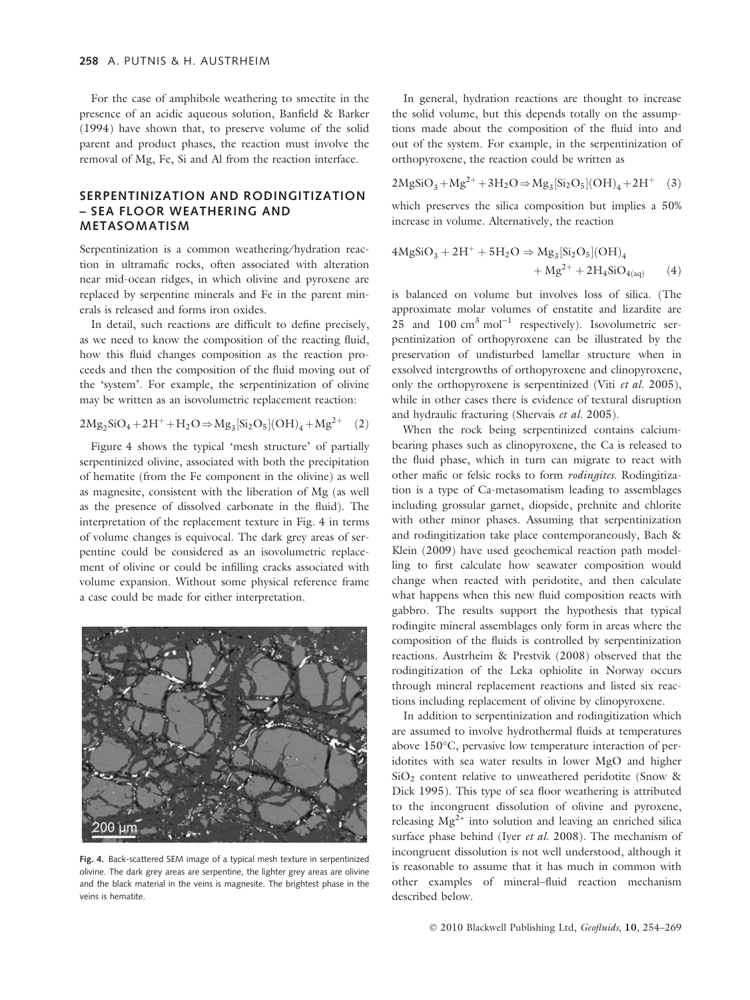For the case of amphibole weathering to smectite in the presence of an acidic aqueous solution, Banfield & Barker (1994) have shown that, to preserve volume of the solid parent and product phases, the reaction must involve the removal of Mg, Fe, Si and Al from the reaction interface.

## SERPENTINIZATION AND RODINGITIZATION – SEA FLOOR WEATHERING AND METASOMATISM

Serpentinization is a common weathering/hydration reaction in ultramafic rocks, often associated with alteration near mid-ocean ridges, in which olivine and pyroxene are replaced by serpentine minerals and Fe in the parent minerals is released and forms iron oxides.

In detail, such reactions are difficult to define precisely, as we need to know the composition of the reacting fluid, how this fluid changes composition as the reaction proceeds and then the composition of the fluid moving out of the 'system'. For example, the serpentinization of olivine may be written as an isovolumetric replacement reaction:

$$
2Mg_2SiO_4 + 2H^+ + H_2O \Rightarrow Mg_3[Si_2O_5](OH)_4 + Mg^{2+}
$$
 (2)

Figure 4 shows the typical 'mesh structure' of partially serpentinized olivine, associated with both the precipitation of hematite (from the Fe component in the olivine) as well as magnesite, consistent with the liberation of Mg (as well as the presence of dissolved carbonate in the fluid). The interpretation of the replacement texture in Fig. 4 in terms of volume changes is equivocal. The dark grey areas of serpentine could be considered as an isovolumetric replacement of olivine or could be infilling cracks associated with volume expansion. Without some physical reference frame a case could be made for either interpretation.



Fig. 4. Back-scattered SEM image of a typical mesh texture in serpentinized olivine. The dark grey areas are serpentine, the lighter grey areas are olivine and the black material in the veins is magnesite. The brightest phase in the veins is hematite.

In general, hydration reactions are thought to increase the solid volume, but this depends totally on the assumptions made about the composition of the fluid into and out of the system. For example, in the serpentinization of orthopyroxene, the reaction could be written as

$$
2MgSiO_3 + Mg^{2+} + 3H_2O \Rightarrow Mg_3[Si_2O_5](OH)_4 + 2H^+ \quad (3)
$$

which preserves the silica composition but implies a 50% increase in volume. Alternatively, the reaction

$$
4MgSiO3 + 2H+ + 5H2O \Rightarrow Mg3[Si2O5](OH)4+ Mg2+ + 2H4SiO4(aq) (4)
$$

is balanced on volume but involves loss of silica. (The approximate molar volumes of enstatite and lizardite are 25 and  $100 \text{ cm}^3 \text{ mol}^{-1}$  respectively). Isovolumetric serpentinization of orthopyroxene can be illustrated by the preservation of undisturbed lamellar structure when in exsolved intergrowths of orthopyroxene and clinopyroxene, only the orthopyroxene is serpentinized (Viti et al. 2005), while in other cases there is evidence of textural disruption and hydraulic fracturing (Shervais et al. 2005).

When the rock being serpentinized contains calciumbearing phases such as clinopyroxene, the Ca is released to the fluid phase, which in turn can migrate to react with other mafic or felsic rocks to form *rodingites*. Rodingitization is a type of Ca-metasomatism leading to assemblages including grossular garnet, diopside, prehnite and chlorite with other minor phases. Assuming that serpentinization and rodingitization take place contemporaneously, Bach & Klein (2009) have used geochemical reaction path modelling to first calculate how seawater composition would change when reacted with peridotite, and then calculate what happens when this new fluid composition reacts with gabbro. The results support the hypothesis that typical rodingite mineral assemblages only form in areas where the composition of the fluids is controlled by serpentinization reactions. Austrheim & Prestvik (2008) observed that the rodingitization of the Leka ophiolite in Norway occurs through mineral replacement reactions and listed six reactions including replacement of olivine by clinopyroxene.

In addition to serpentinization and rodingitization which are assumed to involve hydrothermal fluids at temperatures above 150°C, pervasive low temperature interaction of peridotites with sea water results in lower MgO and higher  $SiO<sub>2</sub>$  content relative to unweathered peridotite (Snow & Dick 1995). This type of sea floor weathering is attributed to the incongruent dissolution of olivine and pyroxene, releasing  $Mg^{2+}$  into solution and leaving an enriched silica surface phase behind (Iyer et al. 2008). The mechanism of incongruent dissolution is not well understood, although it is reasonable to assume that it has much in common with other examples of mineral–fluid reaction mechanism described below.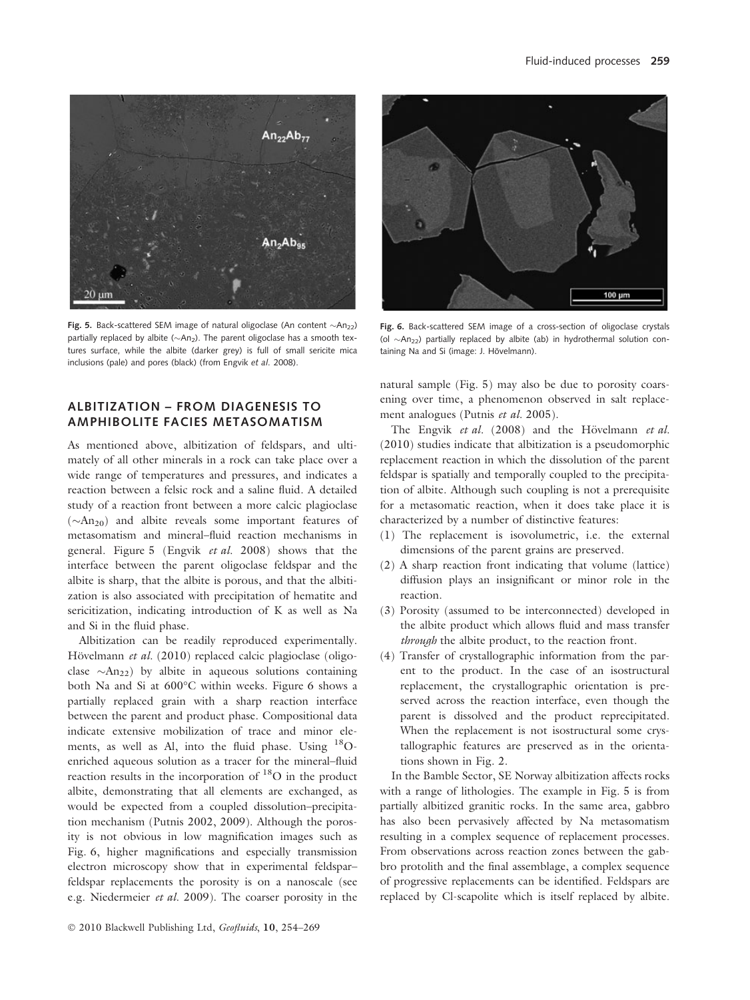

**Fig. 5.** Back-scattered SEM image of natural oligoclase (An content  $\sim$ An<sub>22</sub>) partially replaced by albite ( $\sim$ An $_2$ ). The parent oligoclase has a smooth textures surface, while the albite (darker grey) is full of small sericite mica inclusions (pale) and pores (black) (from Engvik et al. 2008).

## ALBITIZATION – FROM DIAGENESIS TO AMPHIBOLITE FACIES METASOMATISM

As mentioned above, albitization of feldspars, and ultimately of all other minerals in a rock can take place over a wide range of temperatures and pressures, and indicates a reaction between a felsic rock and a saline fluid. A detailed study of a reaction front between a more calcic plagioclase  $(\sim An_{20})$  and albite reveals some important features of metasomatism and mineral–fluid reaction mechanisms in general. Figure 5 (Engvik et al. 2008) shows that the interface between the parent oligoclase feldspar and the albite is sharp, that the albite is porous, and that the albitization is also associated with precipitation of hematite and sericitization, indicating introduction of K as well as Na and Si in the fluid phase.

Albitization can be readily reproduced experimentally. Hövelmann et al. (2010) replaced calcic plagioclase (oligoclase  $\sim$ An<sub>22</sub>) by albite in aqueous solutions containing both Na and Si at 600°C within weeks. Figure 6 shows a partially replaced grain with a sharp reaction interface between the parent and product phase. Compositional data indicate extensive mobilization of trace and minor elements, as well as Al, into the fluid phase. Using <sup>18</sup>Oenriched aqueous solution as a tracer for the mineral–fluid reaction results in the incorporation of  $^{18}$ O in the product albite, demonstrating that all elements are exchanged, as would be expected from a coupled dissolution–precipitation mechanism (Putnis 2002, 2009). Although the porosity is not obvious in low magnification images such as Fig. 6, higher magnifications and especially transmission electron microscopy show that in experimental feldspar– feldspar replacements the porosity is on a nanoscale (see e.g. Niedermeier et al. 2009). The coarser porosity in the



Fig. 6. Back-scattered SEM image of a cross-section of oligoclase crystals (ol  $\sim$ An<sub>22</sub>) partially replaced by albite (ab) in hydrothermal solution containing Na and Si (image: J. Hövelmann).

natural sample (Fig. 5) may also be due to porosity coarsening over time, a phenomenon observed in salt replacement analogues (Putnis et al. 2005).

The Engvik et al.  $(2008)$  and the Hövelmann et al. (2010) studies indicate that albitization is a pseudomorphic replacement reaction in which the dissolution of the parent feldspar is spatially and temporally coupled to the precipitation of albite. Although such coupling is not a prerequisite for a metasomatic reaction, when it does take place it is characterized by a number of distinctive features:

- (1) The replacement is isovolumetric, i.e. the external dimensions of the parent grains are preserved.
- (2) A sharp reaction front indicating that volume (lattice) diffusion plays an insignificant or minor role in the reaction.
- (3) Porosity (assumed to be interconnected) developed in the albite product which allows fluid and mass transfer through the albite product, to the reaction front.
- (4) Transfer of crystallographic information from the parent to the product. In the case of an isostructural replacement, the crystallographic orientation is preserved across the reaction interface, even though the parent is dissolved and the product reprecipitated. When the replacement is not isostructural some crystallographic features are preserved as in the orientations shown in Fig. 2.

In the Bamble Sector, SE Norway albitization affects rocks with a range of lithologies. The example in Fig. 5 is from partially albitized granitic rocks. In the same area, gabbro has also been pervasively affected by Na metasomatism resulting in a complex sequence of replacement processes. From observations across reaction zones between the gabbro protolith and the final assemblage, a complex sequence of progressive replacements can be identified. Feldspars are replaced by Cl-scapolite which is itself replaced by albite.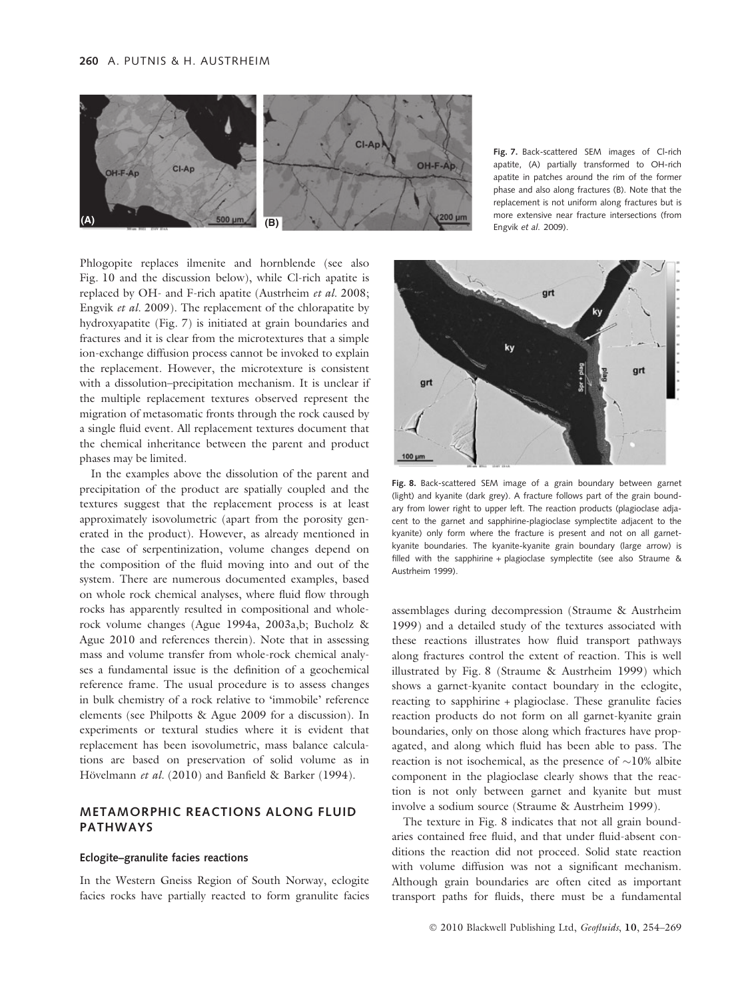

Phlogopite replaces ilmenite and hornblende (see also Fig. 10 and the discussion below), while Cl-rich apatite is replaced by OH- and F-rich apatite (Austrheim et al. 2008; Engvik et al. 2009). The replacement of the chlorapatite by hydroxyapatite (Fig. 7) is initiated at grain boundaries and fractures and it is clear from the microtextures that a simple ion-exchange diffusion process cannot be invoked to explain the replacement. However, the microtexture is consistent with a dissolution–precipitation mechanism. It is unclear if the multiple replacement textures observed represent the migration of metasomatic fronts through the rock caused by a single fluid event. All replacement textures document that the chemical inheritance between the parent and product phases may be limited.

In the examples above the dissolution of the parent and precipitation of the product are spatially coupled and the textures suggest that the replacement process is at least approximately isovolumetric (apart from the porosity generated in the product). However, as already mentioned in the case of serpentinization, volume changes depend on the composition of the fluid moving into and out of the system. There are numerous documented examples, based on whole rock chemical analyses, where fluid flow through rocks has apparently resulted in compositional and wholerock volume changes (Ague 1994a, 2003a,b; Bucholz & Ague 2010 and references therein). Note that in assessing mass and volume transfer from whole-rock chemical analyses a fundamental issue is the definition of a geochemical reference frame. The usual procedure is to assess changes in bulk chemistry of a rock relative to 'immobile' reference elements (see Philpotts & Ague 2009 for a discussion). In experiments or textural studies where it is evident that replacement has been isovolumetric, mass balance calculations are based on preservation of solid volume as in Hövelmann et al. (2010) and Banfield & Barker (1994).

## METAMORPHIC REACTIONS ALONG FLUID PATHWAYS

#### Eclogite–granulite facies reactions

In the Western Gneiss Region of South Norway, eclogite facies rocks have partially reacted to form granulite facies Fig. 7. Back-scattered SEM images of Cl-rich apatite, (A) partially transformed to OH-rich apatite in patches around the rim of the former phase and also along fractures (B). Note that the replacement is not uniform along fractures but is more extensive near fracture intersections (from Engvik et al. 2009).



Fig. 8. Back-scattered SEM image of a grain boundary between garnet (light) and kyanite (dark grey). A fracture follows part of the grain boundary from lower right to upper left. The reaction products (plagioclase adjacent to the garnet and sapphirine-plagioclase symplectite adjacent to the kyanite) only form where the fracture is present and not on all garnetkyanite boundaries. The kyanite-kyanite grain boundary (large arrow) is filled with the sapphirine + plagioclase symplectite (see also Straume & Austrheim 1999).

assemblages during decompression (Straume & Austrheim 1999) and a detailed study of the textures associated with these reactions illustrates how fluid transport pathways along fractures control the extent of reaction. This is well illustrated by Fig. 8 (Straume & Austrheim 1999) which shows a garnet-kyanite contact boundary in the eclogite, reacting to sapphirine + plagioclase. These granulite facies reaction products do not form on all garnet-kyanite grain boundaries, only on those along which fractures have propagated, and along which fluid has been able to pass. The reaction is not isochemical, as the presence of  $\sim$ 10% albite component in the plagioclase clearly shows that the reaction is not only between garnet and kyanite but must involve a sodium source (Straume & Austrheim 1999).

The texture in Fig. 8 indicates that not all grain boundaries contained free fluid, and that under fluid-absent conditions the reaction did not proceed. Solid state reaction with volume diffusion was not a significant mechanism. Although grain boundaries are often cited as important transport paths for fluids, there must be a fundamental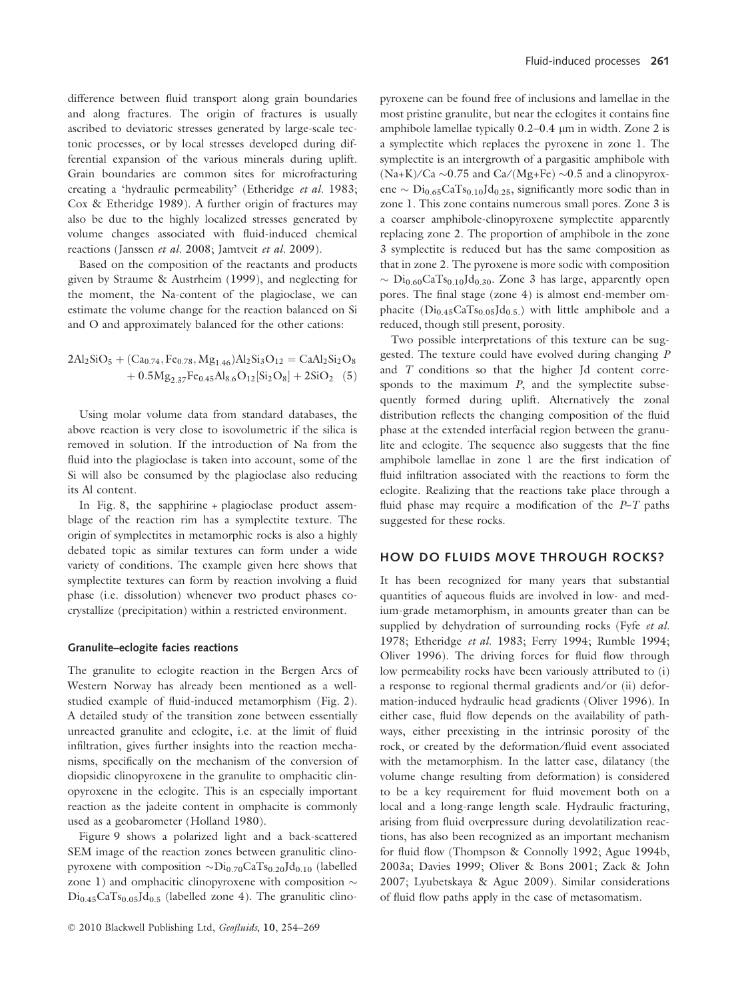difference between fluid transport along grain boundaries and along fractures. The origin of fractures is usually ascribed to deviatoric stresses generated by large-scale tectonic processes, or by local stresses developed during differential expansion of the various minerals during uplift. Grain boundaries are common sites for microfracturing creating a 'hydraulic permeability' (Etheridge et al. 1983; Cox & Etheridge 1989). A further origin of fractures may also be due to the highly localized stresses generated by volume changes associated with fluid-induced chemical reactions (Janssen et al. 2008; Jamtveit et al. 2009).

Based on the composition of the reactants and products given by Straume & Austrheim (1999), and neglecting for the moment, the Na-content of the plagioclase, we can estimate the volume change for the reaction balanced on Si and O and approximately balanced for the other cations:

$$
\begin{aligned} 2Al_2SiO_5+(Ca_{0.74},Fe_{0.78},Mg_{1.46})Al_2Si_3O_{12} & = CaAl_2Si_2O_8 \\ & + 0.5Mg_{2.37}Fe_{0.45}Al_{8.6}O_{12}[Si_2O_8] + 2SiO_2\end{aligned} \quad \ \ (5)
$$

Using molar volume data from standard databases, the above reaction is very close to isovolumetric if the silica is removed in solution. If the introduction of Na from the fluid into the plagioclase is taken into account, some of the Si will also be consumed by the plagioclase also reducing its Al content.

In Fig. 8, the sapphirine + plagioclase product assemblage of the reaction rim has a symplectite texture. The origin of symplectites in metamorphic rocks is also a highly debated topic as similar textures can form under a wide variety of conditions. The example given here shows that symplectite textures can form by reaction involving a fluid phase (i.e. dissolution) whenever two product phases cocrystallize (precipitation) within a restricted environment.

#### Granulite–eclogite facies reactions

The granulite to eclogite reaction in the Bergen Arcs of Western Norway has already been mentioned as a wellstudied example of fluid-induced metamorphism (Fig. 2). A detailed study of the transition zone between essentially unreacted granulite and eclogite, i.e. at the limit of fluid infiltration, gives further insights into the reaction mechanisms, specifically on the mechanism of the conversion of diopsidic clinopyroxene in the granulite to omphacitic clinopyroxene in the eclogite. This is an especially important reaction as the jadeite content in omphacite is commonly used as a geobarometer (Holland 1980).

Figure 9 shows a polarized light and a back-scattered SEM image of the reaction zones between granulitic clinopyroxene with composition  $\sim\!\!{\rm Di}_{0.70}{\rm CaTs}_{0.20} {\rm Jd}_{0.10}$  (labelled zone 1) and omphacitic clinopyroxene with composition  $\sim$  $Di_{0.45}CaTs_{0.05}Jd_{0.5}$  (labelled zone 4). The granulitic clinopyroxene can be found free of inclusions and lamellae in the most pristine granulite, but near the eclogites it contains fine amphibole lamellae typically  $0.2-0.4$  µm in width. Zone 2 is a symplectite which replaces the pyroxene in zone 1. The symplectite is an intergrowth of a pargasitic amphibole with  $(Na+K)/Ca \sim 0.75$  and  $Ca/(Mg+Fe) \sim 0.5$  and a clinopyroxene  $\sim \text{Di}_{0.65}\text{CaTs}_{0.10}\text{Jd}_{0.25}$ , significantly more sodic than in zone 1. This zone contains numerous small pores. Zone 3 is a coarser amphibole-clinopyroxene symplectite apparently replacing zone 2. The proportion of amphibole in the zone 3 symplectite is reduced but has the same composition as that in zone 2. The pyroxene is more sodic with composition  $\sim \text{Di}_{0.60}\text{CaTs}_{0.10}\text{Jd}_{0.30}$ . Zone 3 has large, apparently open pores. The final stage (zone 4) is almost end-member omphacite  $(Di_{0.45}CaTs_{0.05}Jd_{0.5.})$  with little amphibole and a reduced, though still present, porosity.

Two possible interpretations of this texture can be suggested. The texture could have evolved during changing P and T conditions so that the higher Jd content corresponds to the maximum  $P$ , and the symplectite subsequently formed during uplift. Alternatively the zonal distribution reflects the changing composition of the fluid phase at the extended interfacial region between the granulite and eclogite. The sequence also suggests that the fine amphibole lamellae in zone 1 are the first indication of fluid infiltration associated with the reactions to form the eclogite. Realizing that the reactions take place through a fluid phase may require a modification of the  $P-T$  paths suggested for these rocks.

#### HOW DO FLUIDS MOVE THROUGH ROCKS?

It has been recognized for many years that substantial quantities of aqueous fluids are involved in low- and medium-grade metamorphism, in amounts greater than can be supplied by dehydration of surrounding rocks (Fyfe et al. 1978; Etheridge et al. 1983; Ferry 1994; Rumble 1994; Oliver 1996). The driving forces for fluid flow through low permeability rocks have been variously attributed to (i) a response to regional thermal gradients and/or (ii) deformation-induced hydraulic head gradients (Oliver 1996). In either case, fluid flow depends on the availability of pathways, either preexisting in the intrinsic porosity of the rock, or created by the deformation ⁄ fluid event associated with the metamorphism. In the latter case, dilatancy (the volume change resulting from deformation) is considered to be a key requirement for fluid movement both on a local and a long-range length scale. Hydraulic fracturing, arising from fluid overpressure during devolatilization reactions, has also been recognized as an important mechanism for fluid flow (Thompson & Connolly 1992; Ague 1994b, 2003a; Davies 1999; Oliver & Bons 2001; Zack & John 2007; Lyubetskaya & Ague 2009). Similar considerations of fluid flow paths apply in the case of metasomatism.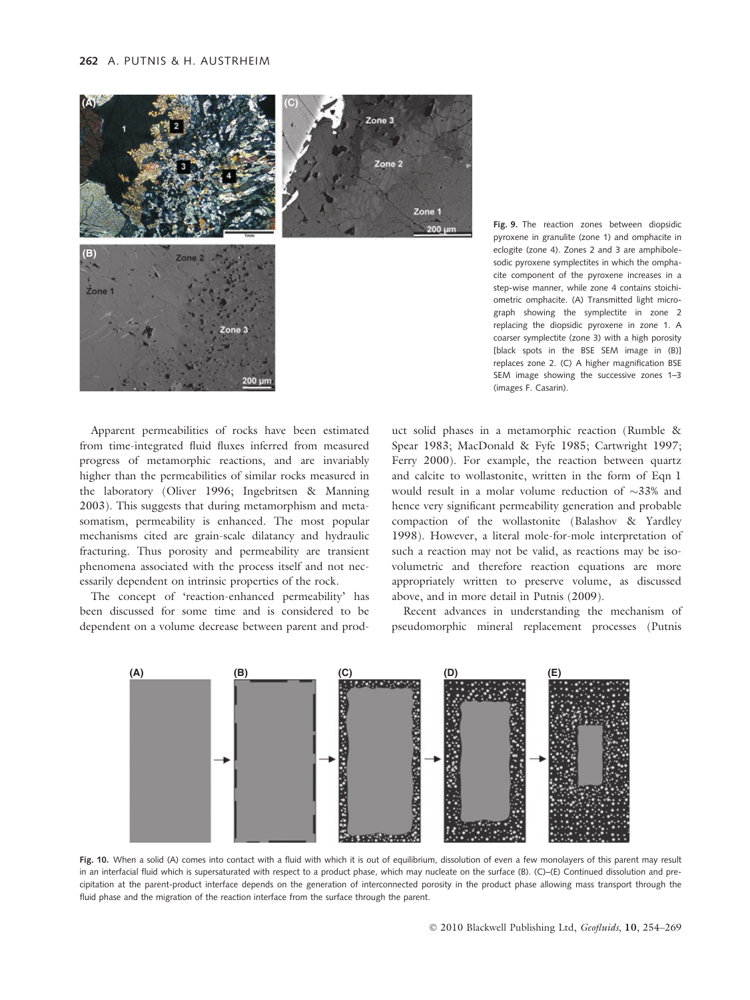

Fig. 9. The reaction zones between diopsidic pyroxene in granulite (zone 1) and omphacite in eclogite (zone 4). Zones 2 and 3 are amphibolesodic pyroxene symplectites in which the omphacite component of the pyroxene increases in a step-wise manner, while zone 4 contains stoichiometric omphacite. (A) Transmitted light micrograph showing the symplectite in zone 2 replacing the diopsidic pyroxene in zone 1. A coarser symplectite (zone 3) with a high porosity [black spots in the BSE SEM image in (B)] replaces zone 2. (C) A higher magnification BSE SEM image showing the successive zones 1–3 (images F. Casarin).

Apparent permeabilities of rocks have been estimated from time-integrated fluid fluxes inferred from measured progress of metamorphic reactions, and are invariably higher than the permeabilities of similar rocks measured in the laboratory (Oliver 1996; Ingebritsen & Manning 2003). This suggests that during metamorphism and metasomatism, permeability is enhanced. The most popular mechanisms cited are grain-scale dilatancy and hydraulic fracturing. Thus porosity and permeability are transient phenomena associated with the process itself and not necessarily dependent on intrinsic properties of the rock.

The concept of 'reaction-enhanced permeability' has been discussed for some time and is considered to be dependent on a volume decrease between parent and product solid phases in a metamorphic reaction (Rumble & Spear 1983; MacDonald & Fyfe 1985; Cartwright 1997; Ferry 2000). For example, the reaction between quartz and calcite to wollastonite, written in the form of Eqn 1 would result in a molar volume reduction of  $\sim$ 33% and hence very significant permeability generation and probable compaction of the wollastonite (Balashov & Yardley 1998). However, a literal mole-for-mole interpretation of such a reaction may not be valid, as reactions may be isovolumetric and therefore reaction equations are more appropriately written to preserve volume, as discussed above, and in more detail in Putnis (2009).

Recent advances in understanding the mechanism of pseudomorphic mineral replacement processes (Putnis



Fig. 10. When a solid (A) comes into contact with a fluid with which it is out of equilibrium, dissolution of even a few monolayers of this parent may result in an interfacial fluid which is supersaturated with respect to a product phase, which may nucleate on the surface (B). (C)–(E) Continued dissolution and precipitation at the parent-product interface depends on the generation of interconnected porosity in the product phase allowing mass transport through the fluid phase and the migration of the reaction interface from the surface through the parent.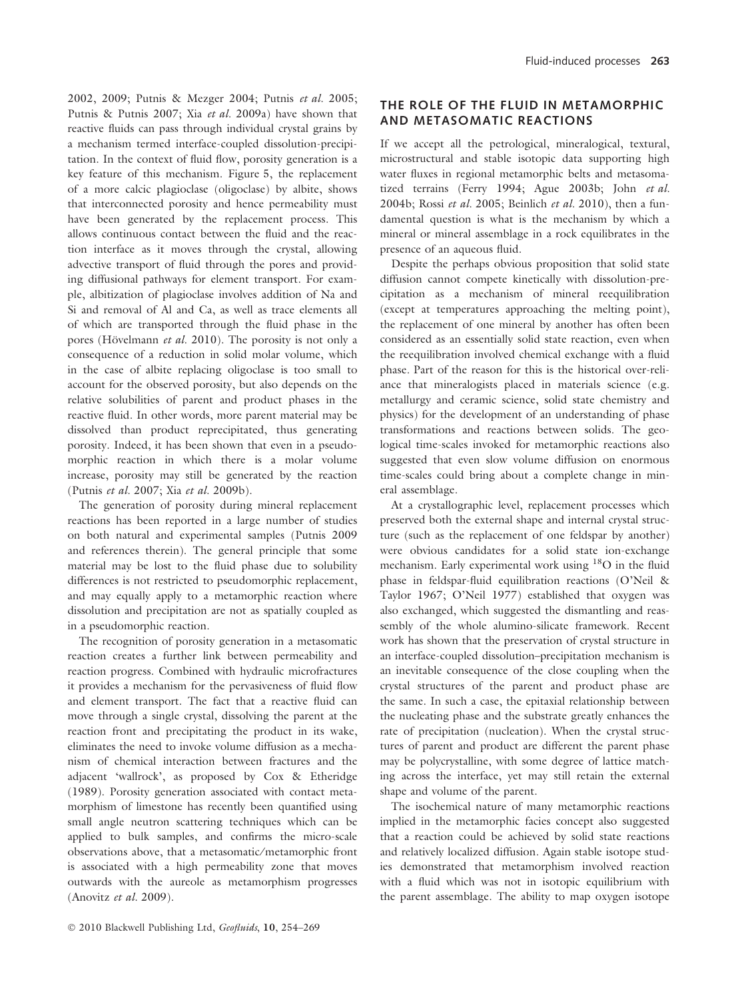2002, 2009; Putnis & Mezger 2004; Putnis et al. 2005; Putnis & Putnis 2007; Xia et al. 2009a) have shown that reactive fluids can pass through individual crystal grains by a mechanism termed interface-coupled dissolution-precipitation. In the context of fluid flow, porosity generation is a key feature of this mechanism. Figure 5, the replacement of a more calcic plagioclase (oligoclase) by albite, shows that interconnected porosity and hence permeability must have been generated by the replacement process. This allows continuous contact between the fluid and the reaction interface as it moves through the crystal, allowing advective transport of fluid through the pores and providing diffusional pathways for element transport. For example, albitization of plagioclase involves addition of Na and Si and removal of Al and Ca, as well as trace elements all of which are transported through the fluid phase in the pores (Hövelmann et al. 2010). The porosity is not only a consequence of a reduction in solid molar volume, which in the case of albite replacing oligoclase is too small to account for the observed porosity, but also depends on the relative solubilities of parent and product phases in the reactive fluid. In other words, more parent material may be dissolved than product reprecipitated, thus generating porosity. Indeed, it has been shown that even in a pseudomorphic reaction in which there is a molar volume increase, porosity may still be generated by the reaction (Putnis et al. 2007; Xia et al. 2009b).

The generation of porosity during mineral replacement reactions has been reported in a large number of studies on both natural and experimental samples (Putnis 2009 and references therein). The general principle that some material may be lost to the fluid phase due to solubility differences is not restricted to pseudomorphic replacement, and may equally apply to a metamorphic reaction where dissolution and precipitation are not as spatially coupled as in a pseudomorphic reaction.

The recognition of porosity generation in a metasomatic reaction creates a further link between permeability and reaction progress. Combined with hydraulic microfractures it provides a mechanism for the pervasiveness of fluid flow and element transport. The fact that a reactive fluid can move through a single crystal, dissolving the parent at the reaction front and precipitating the product in its wake, eliminates the need to invoke volume diffusion as a mechanism of chemical interaction between fractures and the adjacent 'wallrock', as proposed by Cox & Etheridge (1989). Porosity generation associated with contact metamorphism of limestone has recently been quantified using small angle neutron scattering techniques which can be applied to bulk samples, and confirms the micro-scale observations above, that a metasomatic/metamorphic front is associated with a high permeability zone that moves outwards with the aureole as metamorphism progresses (Anovitz et al. 2009).

# THE ROLE OF THE FLUID IN METAMORPHIC AND METASOMATIC REACTIONS

If we accept all the petrological, mineralogical, textural, microstructural and stable isotopic data supporting high water fluxes in regional metamorphic belts and metasomatized terrains (Ferry 1994; Ague 2003b; John et al. 2004b; Rossi et al. 2005; Beinlich et al. 2010), then a fundamental question is what is the mechanism by which a mineral or mineral assemblage in a rock equilibrates in the presence of an aqueous fluid.

Despite the perhaps obvious proposition that solid state diffusion cannot compete kinetically with dissolution-precipitation as a mechanism of mineral reequilibration (except at temperatures approaching the melting point), the replacement of one mineral by another has often been considered as an essentially solid state reaction, even when the reequilibration involved chemical exchange with a fluid phase. Part of the reason for this is the historical over-reliance that mineralogists placed in materials science (e.g. metallurgy and ceramic science, solid state chemistry and physics) for the development of an understanding of phase transformations and reactions between solids. The geological time-scales invoked for metamorphic reactions also suggested that even slow volume diffusion on enormous time-scales could bring about a complete change in mineral assemblage.

At a crystallographic level, replacement processes which preserved both the external shape and internal crystal structure (such as the replacement of one feldspar by another) were obvious candidates for a solid state ion-exchange mechanism. Early experimental work using 18O in the fluid phase in feldspar-fluid equilibration reactions (O'Neil & Taylor 1967; O'Neil 1977) established that oxygen was also exchanged, which suggested the dismantling and reassembly of the whole alumino-silicate framework. Recent work has shown that the preservation of crystal structure in an interface-coupled dissolution–precipitation mechanism is an inevitable consequence of the close coupling when the crystal structures of the parent and product phase are the same. In such a case, the epitaxial relationship between the nucleating phase and the substrate greatly enhances the rate of precipitation (nucleation). When the crystal structures of parent and product are different the parent phase may be polycrystalline, with some degree of lattice matching across the interface, yet may still retain the external shape and volume of the parent.

The isochemical nature of many metamorphic reactions implied in the metamorphic facies concept also suggested that a reaction could be achieved by solid state reactions and relatively localized diffusion. Again stable isotope studies demonstrated that metamorphism involved reaction with a fluid which was not in isotopic equilibrium with the parent assemblage. The ability to map oxygen isotope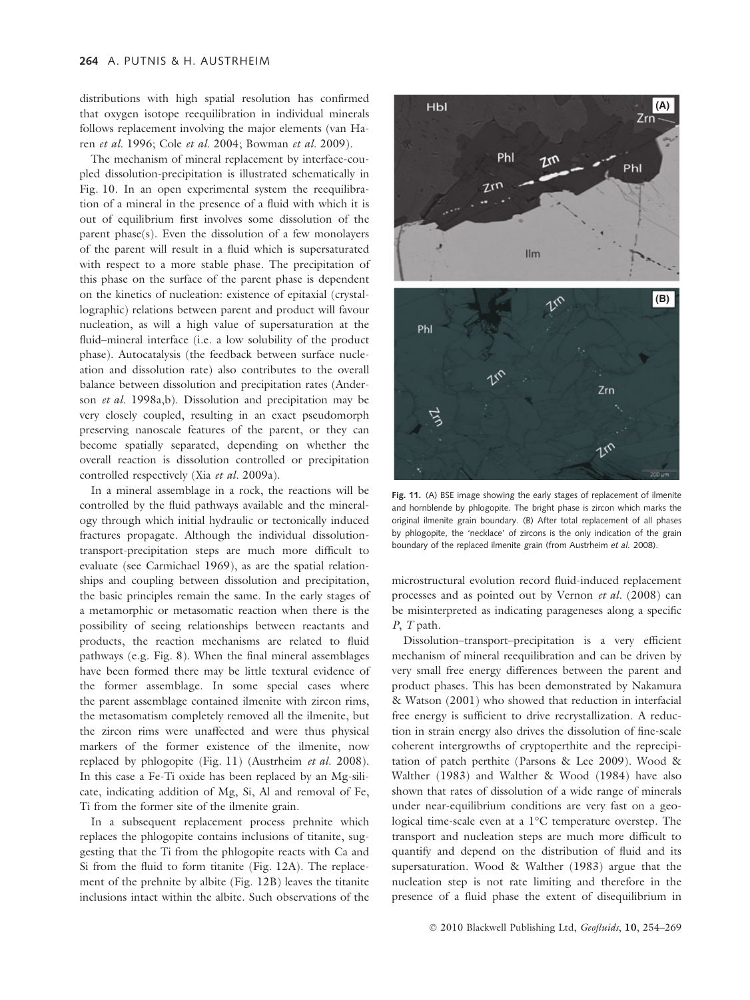distributions with high spatial resolution has confirmed that oxygen isotope reequilibration in individual minerals follows replacement involving the major elements (van Haren *et al.* 1996; Cole *et al.* 2004; Bowman *et al.* 2009).

The mechanism of mineral replacement by interface-coupled dissolution-precipitation is illustrated schematically in Fig. 10. In an open experimental system the reequilibration of a mineral in the presence of a fluid with which it is out of equilibrium first involves some dissolution of the parent phase(s). Even the dissolution of a few monolayers of the parent will result in a fluid which is supersaturated with respect to a more stable phase. The precipitation of this phase on the surface of the parent phase is dependent on the kinetics of nucleation: existence of epitaxial (crystallographic) relations between parent and product will favour nucleation, as will a high value of supersaturation at the fluid–mineral interface (i.e. a low solubility of the product phase). Autocatalysis (the feedback between surface nucleation and dissolution rate) also contributes to the overall balance between dissolution and precipitation rates (Anderson *et al.* 1998a,b). Dissolution and precipitation may be very closely coupled, resulting in an exact pseudomorph preserving nanoscale features of the parent, or they can become spatially separated, depending on whether the overall reaction is dissolution controlled or precipitation controlled respectively (Xia et al. 2009a).

In a mineral assemblage in a rock, the reactions will be controlled by the fluid pathways available and the mineralogy through which initial hydraulic or tectonically induced fractures propagate. Although the individual dissolutiontransport-precipitation steps are much more difficult to evaluate (see Carmichael 1969), as are the spatial relationships and coupling between dissolution and precipitation, the basic principles remain the same. In the early stages of a metamorphic or metasomatic reaction when there is the possibility of seeing relationships between reactants and products, the reaction mechanisms are related to fluid pathways (e.g. Fig. 8). When the final mineral assemblages have been formed there may be little textural evidence of the former assemblage. In some special cases where the parent assemblage contained ilmenite with zircon rims, the metasomatism completely removed all the ilmenite, but the zircon rims were unaffected and were thus physical markers of the former existence of the ilmenite, now replaced by phlogopite (Fig. 11) (Austrheim et al. 2008). In this case a Fe-Ti oxide has been replaced by an Mg-silicate, indicating addition of Mg, Si, Al and removal of Fe, Ti from the former site of the ilmenite grain.

In a subsequent replacement process prehnite which replaces the phlogopite contains inclusions of titanite, suggesting that the Ti from the phlogopite reacts with Ca and Si from the fluid to form titanite (Fig. 12A). The replacement of the prehnite by albite (Fig. 12B) leaves the titanite inclusions intact within the albite. Such observations of the



Fig. 11. (A) BSE image showing the early stages of replacement of ilmenite and hornblende by phlogopite. The bright phase is zircon which marks the original ilmenite grain boundary. (B) After total replacement of all phases by phlogopite, the 'necklace' of zircons is the only indication of the grain boundary of the replaced ilmenite grain (from Austrheim et al. 2008).

microstructural evolution record fluid-induced replacement processes and as pointed out by Vernon et al. (2008) can be misinterpreted as indicating parageneses along a specific P, T path.

Dissolution–transport–precipitation is a very efficient mechanism of mineral reequilibration and can be driven by very small free energy differences between the parent and product phases. This has been demonstrated by Nakamura & Watson (2001) who showed that reduction in interfacial free energy is sufficient to drive recrystallization. A reduction in strain energy also drives the dissolution of fine-scale coherent intergrowths of cryptoperthite and the reprecipitation of patch perthite (Parsons & Lee 2009). Wood & Walther (1983) and Walther & Wood (1984) have also shown that rates of dissolution of a wide range of minerals under near-equilibrium conditions are very fast on a geological time-scale even at a 1°C temperature overstep. The transport and nucleation steps are much more difficult to quantify and depend on the distribution of fluid and its supersaturation. Wood & Walther (1983) argue that the nucleation step is not rate limiting and therefore in the presence of a fluid phase the extent of disequilibrium in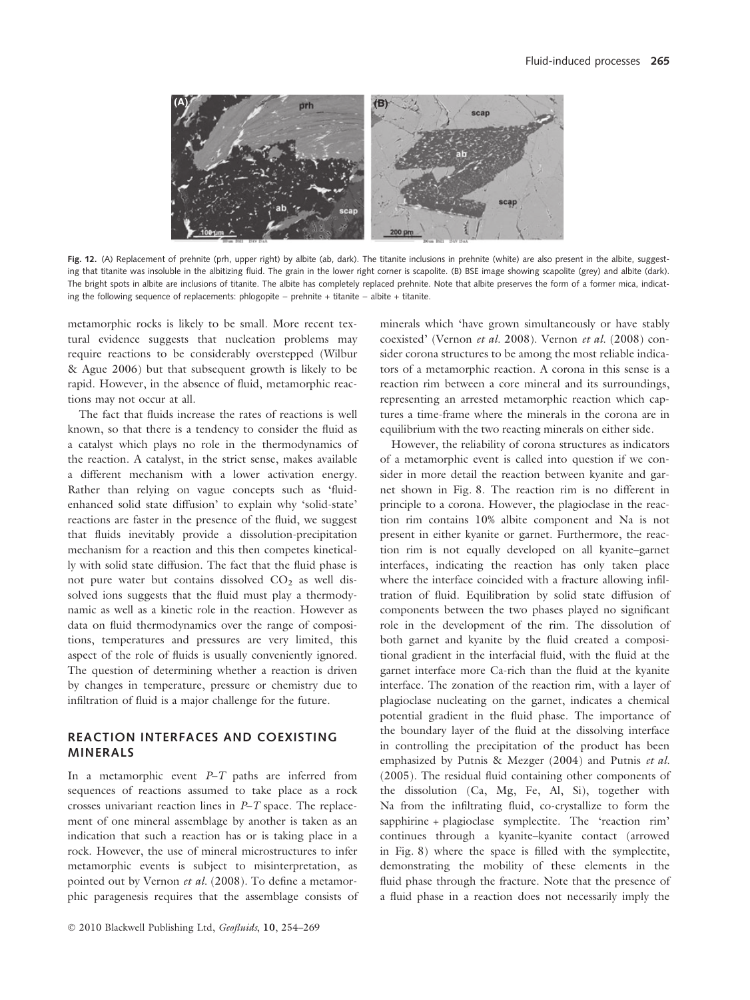

Fig. 12. (A) Replacement of prehnite (prh, upper right) by albite (ab, dark). The titanite inclusions in prehnite (white) are also present in the albite, suggesting that titanite was insoluble in the albitizing fluid. The grain in the lower right corner is scapolite. (B) BSE image showing scapolite (grey) and albite (dark). The bright spots in albite are inclusions of titanite. The albite has completely replaced prehnite. Note that albite preserves the form of a former mica, indicating the following sequence of replacements: phlogopite – prehnite + titanite – albite + titanite.

metamorphic rocks is likely to be small. More recent textural evidence suggests that nucleation problems may require reactions to be considerably overstepped (Wilbur & Ague 2006) but that subsequent growth is likely to be rapid. However, in the absence of fluid, metamorphic reactions may not occur at all.

The fact that fluids increase the rates of reactions is well known, so that there is a tendency to consider the fluid as a catalyst which plays no role in the thermodynamics of the reaction. A catalyst, in the strict sense, makes available a different mechanism with a lower activation energy. Rather than relying on vague concepts such as 'fluidenhanced solid state diffusion' to explain why 'solid-state' reactions are faster in the presence of the fluid, we suggest that fluids inevitably provide a dissolution-precipitation mechanism for a reaction and this then competes kinetically with solid state diffusion. The fact that the fluid phase is not pure water but contains dissolved  $CO<sub>2</sub>$  as well dissolved ions suggests that the fluid must play a thermodynamic as well as a kinetic role in the reaction. However as data on fluid thermodynamics over the range of compositions, temperatures and pressures are very limited, this aspect of the role of fluids is usually conveniently ignored. The question of determining whether a reaction is driven by changes in temperature, pressure or chemistry due to infiltration of fluid is a major challenge for the future.

# REACTION INTERFACES AND COEXISTING MINERALS

In a metamorphic event  $P-T$  paths are inferred from sequences of reactions assumed to take place as a rock crosses univariant reaction lines in P–T space. The replacement of one mineral assemblage by another is taken as an indication that such a reaction has or is taking place in a rock. However, the use of mineral microstructures to infer metamorphic events is subject to misinterpretation, as pointed out by Vernon et al. (2008). To define a metamorphic paragenesis requires that the assemblage consists of minerals which 'have grown simultaneously or have stably coexisted' (Vernon et al. 2008). Vernon et al. (2008) consider corona structures to be among the most reliable indicators of a metamorphic reaction. A corona in this sense is a reaction rim between a core mineral and its surroundings, representing an arrested metamorphic reaction which captures a time-frame where the minerals in the corona are in equilibrium with the two reacting minerals on either side.

However, the reliability of corona structures as indicators of a metamorphic event is called into question if we consider in more detail the reaction between kyanite and garnet shown in Fig. 8. The reaction rim is no different in principle to a corona. However, the plagioclase in the reaction rim contains 10% albite component and Na is not present in either kyanite or garnet. Furthermore, the reaction rim is not equally developed on all kyanite–garnet interfaces, indicating the reaction has only taken place where the interface coincided with a fracture allowing infiltration of fluid. Equilibration by solid state diffusion of components between the two phases played no significant role in the development of the rim. The dissolution of both garnet and kyanite by the fluid created a compositional gradient in the interfacial fluid, with the fluid at the garnet interface more Ca-rich than the fluid at the kyanite interface. The zonation of the reaction rim, with a layer of plagioclase nucleating on the garnet, indicates a chemical potential gradient in the fluid phase. The importance of the boundary layer of the fluid at the dissolving interface in controlling the precipitation of the product has been emphasized by Putnis & Mezger (2004) and Putnis et al. (2005). The residual fluid containing other components of the dissolution (Ca, Mg, Fe, Al, Si), together with Na from the infiltrating fluid, co-crystallize to form the sapphirine + plagioclase symplectite. The 'reaction rim' continues through a kyanite–kyanite contact (arrowed in Fig. 8) where the space is filled with the symplectite, demonstrating the mobility of these elements in the fluid phase through the fracture. Note that the presence of a fluid phase in a reaction does not necessarily imply the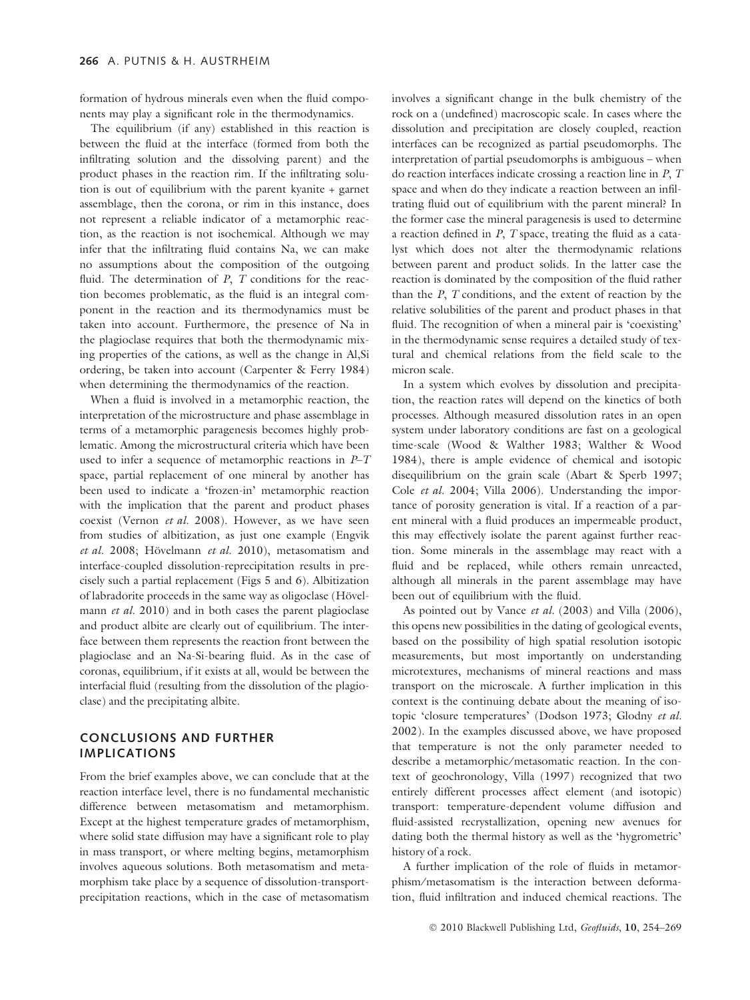formation of hydrous minerals even when the fluid components may play a significant role in the thermodynamics.

The equilibrium (if any) established in this reaction is between the fluid at the interface (formed from both the infiltrating solution and the dissolving parent) and the product phases in the reaction rim. If the infiltrating solution is out of equilibrium with the parent kyanite + garnet assemblage, then the corona, or rim in this instance, does not represent a reliable indicator of a metamorphic reaction, as the reaction is not isochemical. Although we may infer that the infiltrating fluid contains Na, we can make no assumptions about the composition of the outgoing fluid. The determination of  $P$ ,  $T$  conditions for the reaction becomes problematic, as the fluid is an integral component in the reaction and its thermodynamics must be taken into account. Furthermore, the presence of Na in the plagioclase requires that both the thermodynamic mixing properties of the cations, as well as the change in Al,Si ordering, be taken into account (Carpenter & Ferry 1984) when determining the thermodynamics of the reaction.

When a fluid is involved in a metamorphic reaction, the interpretation of the microstructure and phase assemblage in terms of a metamorphic paragenesis becomes highly problematic. Among the microstructural criteria which have been used to infer a sequence of metamorphic reactions in  $P-T$ space, partial replacement of one mineral by another has been used to indicate a 'frozen-in' metamorphic reaction with the implication that the parent and product phases coexist (Vernon et al. 2008). However, as we have seen from studies of albitization, as just one example (Engvik et al. 2008; Hövelmann et al. 2010), metasomatism and interface-coupled dissolution-reprecipitation results in precisely such a partial replacement (Figs 5 and 6). Albitization of labradorite proceeds in the same way as oligoclase (Hövelmann et al. 2010) and in both cases the parent plagioclase and product albite are clearly out of equilibrium. The interface between them represents the reaction front between the plagioclase and an Na-Si-bearing fluid. As in the case of coronas, equilibrium, if it exists at all, would be between the interfacial fluid (resulting from the dissolution of the plagioclase) and the precipitating albite.

## CONCLUSIONS AND FURTHER IMPLICATIONS

From the brief examples above, we can conclude that at the reaction interface level, there is no fundamental mechanistic difference between metasomatism and metamorphism. Except at the highest temperature grades of metamorphism, where solid state diffusion may have a significant role to play in mass transport, or where melting begins, metamorphism involves aqueous solutions. Both metasomatism and metamorphism take place by a sequence of dissolution-transportprecipitation reactions, which in the case of metasomatism involves a significant change in the bulk chemistry of the rock on a (undefined) macroscopic scale. In cases where the dissolution and precipitation are closely coupled, reaction interfaces can be recognized as partial pseudomorphs. The interpretation of partial pseudomorphs is ambiguous – when do reaction interfaces indicate crossing a reaction line in P, T space and when do they indicate a reaction between an infiltrating fluid out of equilibrium with the parent mineral? In the former case the mineral paragenesis is used to determine a reaction defined in  $P$ ,  $T$  space, treating the fluid as a catalyst which does not alter the thermodynamic relations between parent and product solids. In the latter case the reaction is dominated by the composition of the fluid rather than the P, T conditions, and the extent of reaction by the relative solubilities of the parent and product phases in that fluid. The recognition of when a mineral pair is 'coexisting' in the thermodynamic sense requires a detailed study of textural and chemical relations from the field scale to the micron scale.

In a system which evolves by dissolution and precipitation, the reaction rates will depend on the kinetics of both processes. Although measured dissolution rates in an open system under laboratory conditions are fast on a geological time-scale (Wood & Walther 1983; Walther & Wood 1984), there is ample evidence of chemical and isotopic disequilibrium on the grain scale (Abart & Sperb 1997; Cole et al. 2004; Villa 2006). Understanding the importance of porosity generation is vital. If a reaction of a parent mineral with a fluid produces an impermeable product, this may effectively isolate the parent against further reaction. Some minerals in the assemblage may react with a fluid and be replaced, while others remain unreacted, although all minerals in the parent assemblage may have been out of equilibrium with the fluid.

As pointed out by Vance et al. (2003) and Villa (2006), this opens new possibilities in the dating of geological events, based on the possibility of high spatial resolution isotopic measurements, but most importantly on understanding microtextures, mechanisms of mineral reactions and mass transport on the microscale. A further implication in this context is the continuing debate about the meaning of isotopic 'closure temperatures' (Dodson 1973; Glodny et al. 2002). In the examples discussed above, we have proposed that temperature is not the only parameter needed to describe a metamorphic/metasomatic reaction. In the context of geochronology, Villa (1997) recognized that two entirely different processes affect element (and isotopic) transport: temperature-dependent volume diffusion and fluid-assisted recrystallization, opening new avenues for dating both the thermal history as well as the 'hygrometric' history of a rock.

A further implication of the role of fluids in metamorphism ⁄ metasomatism is the interaction between deformation, fluid infiltration and induced chemical reactions. The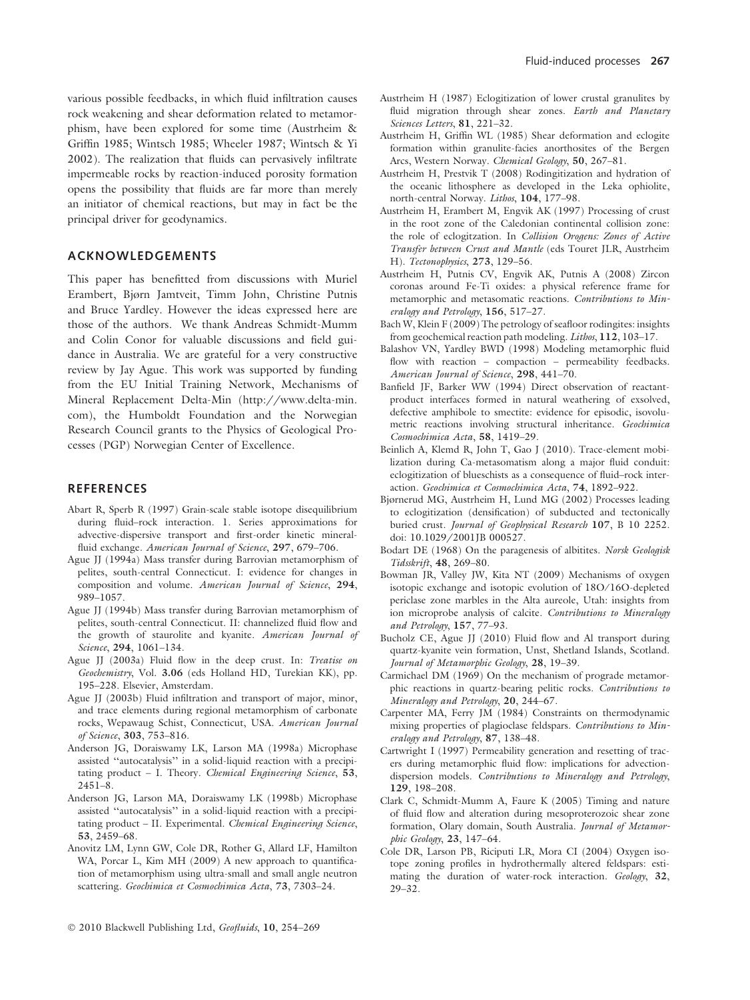various possible feedbacks, in which fluid infiltration causes rock weakening and shear deformation related to metamorphism, have been explored for some time (Austrheim & Griffin 1985; Wintsch 1985; Wheeler 1987; Wintsch & Yi 2002). The realization that fluids can pervasively infiltrate impermeable rocks by reaction-induced porosity formation opens the possibility that fluids are far more than merely an initiator of chemical reactions, but may in fact be the principal driver for geodynamics.

## ACKNOWLEDGEMENTS

This paper has benefitted from discussions with Muriel Erambert, Bjørn Jamtveit, Timm John, Christine Putnis and Bruce Yardley. However the ideas expressed here are those of the authors. We thank Andreas Schmidt-Mumm and Colin Conor for valuable discussions and field guidance in Australia. We are grateful for a very constructive review by Jay Ague. This work was supported by funding from the EU Initial Training Network, Mechanisms of Mineral Replacement Delta-Min (http://www.delta-min. com), the Humboldt Foundation and the Norwegian Research Council grants to the Physics of Geological Processes (PGP) Norwegian Center of Excellence.

## **REFERENCES**

- Abart R, Sperb R (1997) Grain-scale stable isotope disequilibrium during fluid–rock interaction. 1. Series approximations for advective-dispersive transport and first-order kinetic mineralfluid exchange. American Journal of Science, 297, 679-706.
- Ague JJ (1994a) Mass transfer during Barrovian metamorphism of pelites, south-central Connecticut. I: evidence for changes in composition and volume. American Journal of Science, 294, 989–1057.
- Ague JJ (1994b) Mass transfer during Barrovian metamorphism of pelites, south-central Connecticut. II: channelized fluid flow and the growth of staurolite and kyanite. American Journal of Science, 294, 1061-134.
- Ague JJ (2003a) Fluid flow in the deep crust. In: Treatise on Geochemistry, Vol. 3.06 (eds Holland HD, Turekian KK), pp. 195–228. Elsevier, Amsterdam.
- Ague JJ (2003b) Fluid infiltration and transport of major, minor, and trace elements during regional metamorphism of carbonate rocks, Wepawaug Schist, Connecticut, USA. American Journal of Science, 303, 753–816.
- Anderson JG, Doraiswamy LK, Larson MA (1998a) Microphase assisted ''autocatalysis'' in a solid-liquid reaction with a precipitating product - I. Theory. Chemical Engineering Science, 53, 2451–8.
- Anderson JG, Larson MA, Doraiswamy LK (1998b) Microphase assisted ''autocatalysis'' in a solid-liquid reaction with a precipitating product – II. Experimental. Chemical Engineering Science, 53, 2459–68.
- Anovitz LM, Lynn GW, Cole DR, Rother G, Allard LF, Hamilton WA, Porcar L, Kim MH (2009) A new approach to quantification of metamorphism using ultra-small and small angle neutron scattering. Geochimica et Cosmochimica Acta, 73, 7303-24.
- Austrheim H (1987) Eclogitization of lower crustal granulites by fluid migration through shear zones. Earth and Planetary Sciences Letters, 81, 221–32.
- Austrheim H, Griffin WL (1985) Shear deformation and eclogite formation within granulite-facies anorthosites of the Bergen Arcs, Western Norway. Chemical Geology, 50, 267–81.
- Austrheim H, Prestvik T (2008) Rodingitization and hydration of the oceanic lithosphere as developed in the Leka ophiolite, north-central Norway. Lithos, 104, 177–98.
- Austrheim H, Erambert M, Engvik AK (1997) Processing of crust in the root zone of the Caledonian continental collision zone: the role of eclogitzation. In Collision Orogens: Zones of Active Transfer between Crust and Mantle (eds Touret JLR, Austrheim H). Tectonophysics, 273, 129–56.
- Austrheim H, Putnis CV, Engvik AK, Putnis A (2008) Zircon coronas around Fe-Ti oxides: a physical reference frame for metamorphic and metasomatic reactions. Contributions to Mineralogy and Petrology, 156, 517–27.
- Bach W, Klein F (2009) The petrology of seafloor rodingites: insights from geochemical reaction path modeling. Lithos, 112, 103–17.
- Balashov VN, Yardley BWD (1998) Modeling metamorphic fluid flow with reaction – compaction – permeability feedbacks. American Journal of Science, 298, 441–70.
- Banfield JF, Barker WW (1994) Direct observation of reactantproduct interfaces formed in natural weathering of exsolved, defective amphibole to smectite: evidence for episodic, isovolumetric reactions involving structural inheritance. Geochimica Cosmochimica Acta, 58, 1419–29.
- Beinlich A, Klemd R, John T, Gao J (2010). Trace-element mobilization during Ca-metasomatism along a major fluid conduit: eclogitization of blueschists as a consequence of fluid–rock interaction. Geochimica et Cosmochimica Acta, 74, 1892–922.
- Bjørnerud MG, Austrheim H, Lund MG (2002) Processes leading to eclogitization (densification) of subducted and tectonically buried crust. Journal of Geophysical Research 107, B 10 2252. doi: 10.1029/2001JB 000527.
- Bodart DE (1968) On the paragenesis of albitites. Norsk Geologisk Tidsskrift, 48, 269–80.
- Bowman JR, Valley JW, Kita NT (2009) Mechanisms of oxygen isotopic exchange and isotopic evolution of 18O/16O-depleted periclase zone marbles in the Alta aureole, Utah: insights from ion microprobe analysis of calcite. Contributions to Mineralogy and Petrology, 157, 77–93.
- Bucholz CE, Ague JJ (2010) Fluid flow and Al transport during quartz-kyanite vein formation, Unst, Shetland Islands, Scotland. Journal of Metamorphic Geology, 28, 19–39.
- Carmichael DM (1969) On the mechanism of prograde metamorphic reactions in quartz-bearing pelitic rocks. Contributions to Mineralogy and Petrology, 20, 244-67.
- Carpenter MA, Ferry JM (1984) Constraints on thermodynamic mixing properties of plagioclase feldspars. Contributions to Mineralogy and Petrology, 87, 138–48.
- Cartwright I (1997) Permeability generation and resetting of tracers during metamorphic fluid flow: implications for advectiondispersion models. Contributions to Mineralogy and Petrology, 129, 198–208.
- Clark C, Schmidt-Mumm A, Faure K (2005) Timing and nature of fluid flow and alteration during mesoproterozoic shear zone formation, Olary domain, South Australia. Journal of Metamorphic Geology, 23, 147–64.
- Cole DR, Larson PB, Riciputi LR, Mora CI (2004) Oxygen isotope zoning profiles in hydrothermally altered feldspars: estimating the duration of water-rock interaction. Geology, 32, 29–32.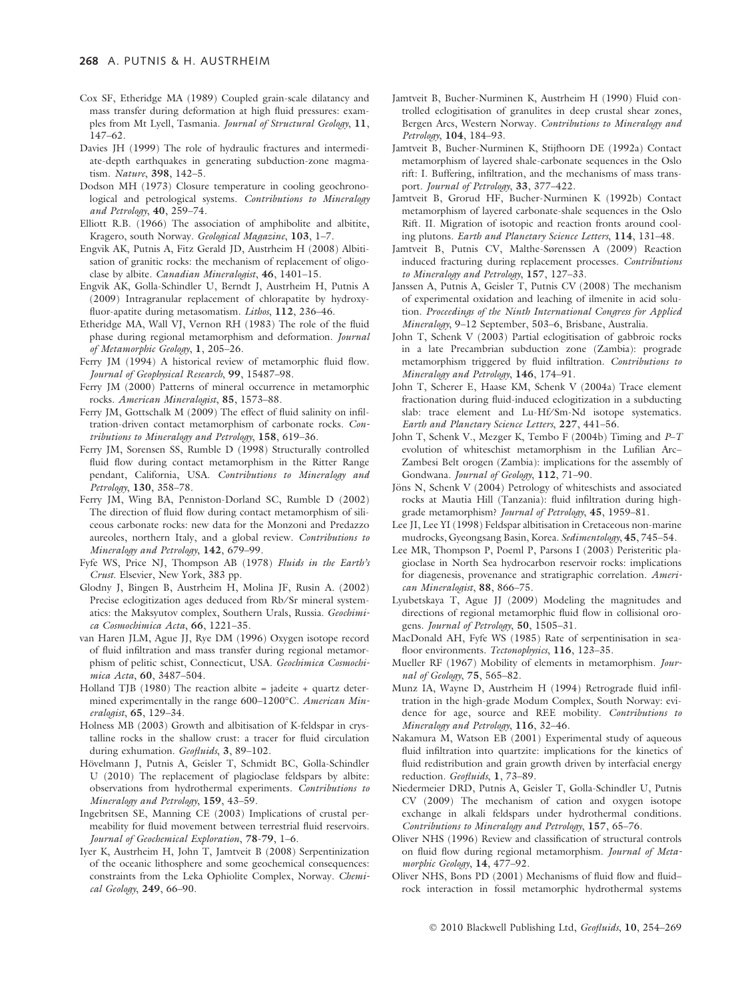- Cox SF, Etheridge MA (1989) Coupled grain-scale dilatancy and mass transfer during deformation at high fluid pressures: examples from Mt Lyell, Tasmania. Journal of Structural Geology, 11, 147–62.
- Davies JH (1999) The role of hydraulic fractures and intermediate-depth earthquakes in generating subduction-zone magmatism. Nature, 398, 142–5.
- Dodson MH (1973) Closure temperature in cooling geochronological and petrological systems. Contributions to Mineralogy and Petrology, 40, 259–74.
- Elliott R.B. (1966) The association of amphibolite and albitite, Kragero, south Norway. Geological Magazine, 103, 1–7.
- Engvik AK, Putnis A, Fitz Gerald JD, Austrheim H (2008) Albitisation of granitic rocks: the mechanism of replacement of oligoclase by albite. Canadian Mineralogist, 46, 1401–15.
- Engvik AK, Golla-Schindler U, Berndt J, Austrheim H, Putnis A (2009) Intragranular replacement of chlorapatite by hydroxyfluor-apatite during metasomatism. Lithos, 112, 236-46.
- Etheridge MA, Wall VJ, Vernon RH (1983) The role of the fluid phase during regional metamorphism and deformation. Journal of Metamorphic Geology, 1, 205–26.
- Ferry JM (1994) A historical review of metamorphic fluid flow. Journal of Geophysical Research, 99, 15487–98.
- Ferry JM (2000) Patterns of mineral occurrence in metamorphic rocks. American Mineralogist, 85, 1573–88.
- Ferry JM, Gottschalk M (2009) The effect of fluid salinity on infiltration-driven contact metamorphism of carbonate rocks. Contributions to Mineralogy and Petrology, 158, 619–36.
- Ferry JM, Sorensen SS, Rumble D (1998) Structurally controlled fluid flow during contact metamorphism in the Ritter Range pendant, California, USA. Contributions to Mineralogy and Petrology, 130, 358–78.
- Ferry JM, Wing BA, Penniston-Dorland SC, Rumble D (2002) The direction of fluid flow during contact metamorphism of siliceous carbonate rocks: new data for the Monzoni and Predazzo aureoles, northern Italy, and a global review. Contributions to Mineralogy and Petrology, 142, 679–99.
- Fyfe WS, Price NJ, Thompson AB (1978) Fluids in the Earth's Crust. Elsevier, New York, 383 pp.
- Glodny J, Bingen B, Austrheim H, Molina JF, Rusin A. (2002) Precise eclogitization ages deduced from Rb/Sr mineral systematics: the Maksyutov complex, Southern Urals, Russia. Geochimica Cosmochimica Acta, 66, 1221–35.
- van Haren JLM, Ague JJ, Rye DM (1996) Oxygen isotope record of fluid infiltration and mass transfer during regional metamorphism of pelitic schist, Connecticut, USA. Geochimica Cosmochimica Acta, 60, 3487–504.
- Holland TJB (1980) The reaction albite = jadeite + quartz determined experimentally in the range 600-1200°C. American Mineralogist, 65, 129–34.
- Holness MB (2003) Growth and albitisation of K-feldspar in crystalline rocks in the shallow crust: a tracer for fluid circulation during exhumation. Geofluids, 3, 89-102.
- Hövelmann J, Putnis A, Geisler T, Schmidt BC, Golla-Schindler U (2010) The replacement of plagioclase feldspars by albite: observations from hydrothermal experiments. Contributions to Mineralogy and Petrology, 159, 43–59.
- Ingebritsen SE, Manning CE (2003) Implications of crustal permeability for fluid movement between terrestrial fluid reservoirs. Journal of Geochemical Exploration, 78-79, 1–6.
- Iyer K, Austrheim H, John T, Jamtveit B (2008) Serpentinization of the oceanic lithosphere and some geochemical consequences: constraints from the Leka Ophiolite Complex, Norway. Chemical Geology, 249, 66–90.
- Jamtveit B, Bucher-Nurminen K, Austrheim H (1990) Fluid controlled eclogitisation of granulites in deep crustal shear zones, Bergen Arcs, Western Norway. Contributions to Mineralogy and Petrology, 104, 184–93.
- Jamtveit B, Bucher-Nurminen K, Stijfhoorn DE (1992a) Contact metamorphism of layered shale-carbonate sequences in the Oslo rift: I. Buffering, infiltration, and the mechanisms of mass transport. Journal of Petrology, 33, 377–422.
- Jamtveit B, Grorud HF, Bucher-Nurminen K (1992b) Contact metamorphism of layered carbonate-shale sequences in the Oslo Rift. II. Migration of isotopic and reaction fronts around cooling plutons. Earth and Planetary Science Letters, 114, 131–48.
- Jamtveit B, Putnis CV, Malthe-Sørenssen A (2009) Reaction induced fracturing during replacement processes. Contributions to Mineralogy and Petrology, 157, 127–33.
- Janssen A, Putnis A, Geisler T, Putnis CV (2008) The mechanism of experimental oxidation and leaching of ilmenite in acid solution. Proceedings of the Ninth International Congress for Applied Mineralogy, 9–12 September, 503–6, Brisbane, Australia.
- John T, Schenk V (2003) Partial eclogitisation of gabbroic rocks in a late Precambrian subduction zone (Zambia): prograde metamorphism triggered by fluid infiltration. Contributions to Mineralogy and Petrology, 146, 174–91.
- John T, Scherer E, Haase KM, Schenk V (2004a) Trace element fractionation during fluid-induced eclogitization in a subducting slab: trace element and Lu-Hf/Sm-Nd isotope systematics. Earth and Planetary Science Letters, 227, 441–56.
- John T, Schenk V., Mezger K, Tembo F (2004b) Timing and P–T evolution of whiteschist metamorphism in the Lufilian Arc– Zambesi Belt orogen (Zambia): implications for the assembly of Gondwana. Journal of Geology, 112, 71–90.
- Jöns N, Schenk V (2004) Petrology of whiteschists and associated rocks at Mautia Hill (Tanzania): fluid infiltration during highgrade metamorphism? Journal of Petrology, 45, 1959-81.
- Lee JI, Lee YI (1998) Feldspar albitisation in Cretaceous non-marine mudrocks, Gyeongsang Basin, Korea. Sedimentology, 45, 745–54.
- Lee MR, Thompson P, Poeml P, Parsons I (2003) Peristeritic plagioclase in North Sea hydrocarbon reservoir rocks: implications for diagenesis, provenance and stratigraphic correlation. American Mineralogist, 88, 866–75.
- Lyubetskaya T, Ague JJ (2009) Modeling the magnitudes and directions of regional metamorphic fluid flow in collisional orogens. Journal of Petrology, 50, 1505–31.
- MacDonald AH, Fyfe WS (1985) Rate of serpentinisation in seafloor environments. Tectonophysics, 116, 123-35.
- Mueller RF (1967) Mobility of elements in metamorphism. Journal of Geology, 75, 565–82.
- Munz IA, Wayne D, Austrheim H (1994) Retrograde fluid infiltration in the high-grade Modum Complex, South Norway: evidence for age, source and REE mobility. Contributions to Mineralogy and Petrology, 116, 32–46.
- Nakamura M, Watson EB (2001) Experimental study of aqueous fluid infiltration into quartzite: implications for the kinetics of fluid redistribution and grain growth driven by interfacial energy reduction. Geofluids, 1, 73-89.
- Niedermeier DRD, Putnis A, Geisler T, Golla-Schindler U, Putnis CV (2009) The mechanism of cation and oxygen isotope exchange in alkali feldspars under hydrothermal conditions. Contributions to Mineralogy and Petrology, 157, 65–76.
- Oliver NHS (1996) Review and classification of structural controls on fluid flow during regional metamorphism. Journal of Metamorphic Geology, 14, 477–92.
- Oliver NHS, Bons PD (2001) Mechanisms of fluid flow and fluid– rock interaction in fossil metamorphic hydrothermal systems